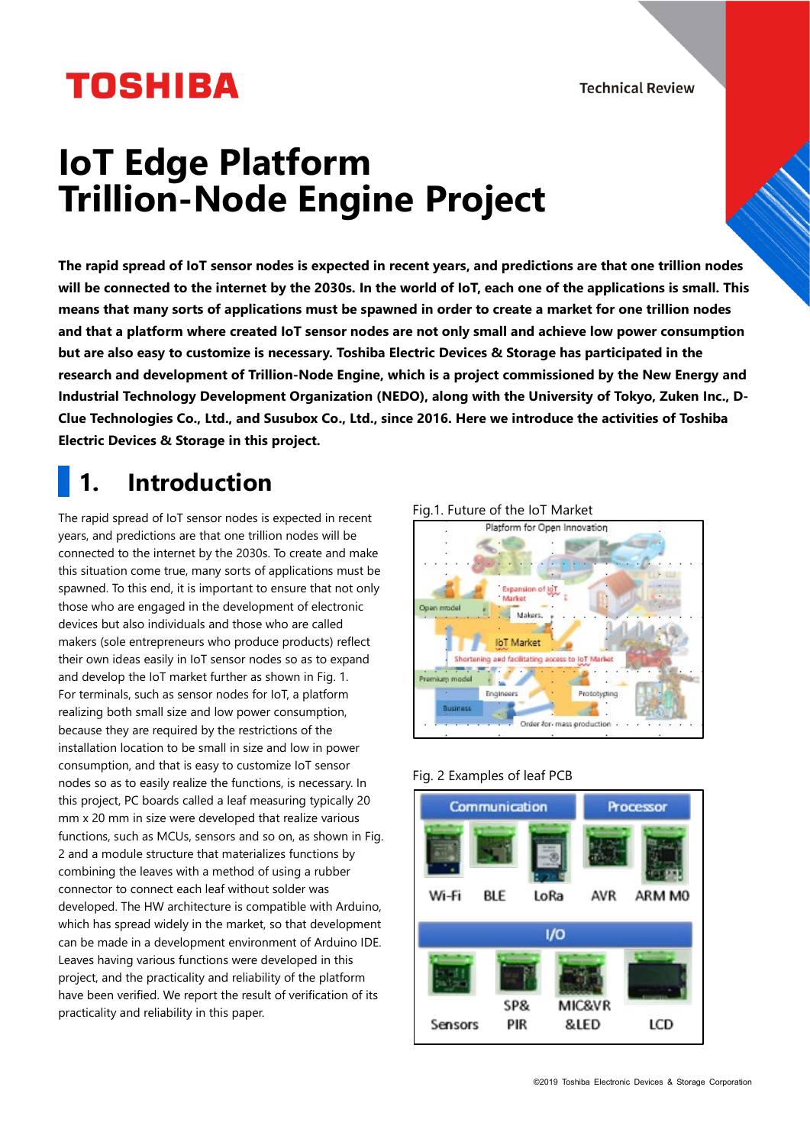**Technical Review** 

# **TOSHIBA**

## **IoT Edge Platform Trillion-Node Engine Project**

**The rapid spread of IoT sensor nodes is expected in recent years, and predictions are that one trillion nodes will be connected to the internet by the 2030s. In the world of IoT, each one of the applications is small. This means that many sorts of applications must be spawned in order to create a market for one trillion nodes and that a platform where created IoT sensor nodes are not only small and achieve low power consumption but are also easy to customize is necessary. Toshiba Electric Devices & Storage has participated in the research and development of Trillion-Node Engine, which is a project commissioned by the New Energy and Industrial Technology Development Organization (NEDO), along with the University of Tokyo, Zuken Inc., D-Clue Technologies Co., Ltd., and Susubox Co., Ltd., since 2016. Here we introduce the activities of Toshiba Electric Devices & Storage in this project.**

### **1. Introduction**

The rapid spread of IoT sensor nodes is expected in recent years, and predictions are that one trillion nodes will be connected to the internet by the 2030s. To create and make this situation come true, many sorts of applications must be spawned. To this end, it is important to ensure that not only those who are engaged in the development of electronic devices but also individuals and those who are called makers (sole entrepreneurs who produce products) reflect their own ideas easily in IoT sensor nodes so as to expand and develop the IoT market further as shown in Fig. 1. For terminals, such as sensor nodes for IoT, a platform realizing both small size and low power consumption, because they are required by the restrictions of the installation location to be small in size and low in power consumption, and that is easy to customize IoT sensor nodes so as to easily realize the functions, is necessary. In this project, PC boards called a leaf measuring typically 20 mm x 20 mm in size were developed that realize various functions, such as MCUs, sensors and so on, as shown in Fig. 2 and a module structure that materializes functions by combining the leaves with a method of using a rubber connector to connect each leaf without solder was developed. The HW architecture is compatible with Arduino, which has spread widely in the market, so that development can be made in a development environment of Arduino IDE. Leaves having various functions were developed in this project, and the practicality and reliability of the platform have been verified. We report the result of verification of its practicality and reliability in this paper.

#### Fig.1. Future of the IoT Market



#### Fig. 2 Examples of leaf PCB

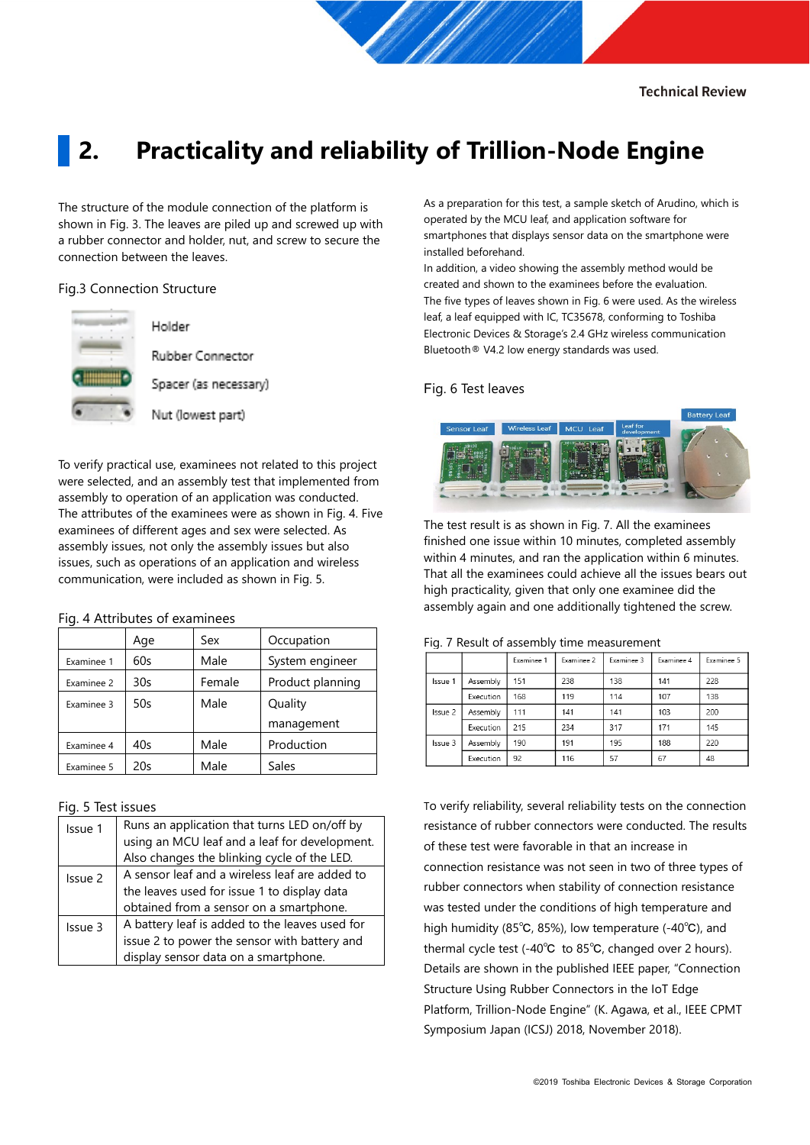### **2. Practicality and reliability of Trillion-Node Engine**

The structure of the module connection of the platform is shown in Fig. 3. The leaves are piled up and screwed up with a rubber connector and holder, nut, and screw to secure the connection between the leaves.

#### Fig.3 Connection Structure



Rubber Connector

Spacer (as necessary)

Holder

Nut (lowest part)

To verify practical use, examinees not related to this project were selected, and an assembly test that implemented from assembly to operation of an application was conducted. The attributes of the examinees were as shown in Fig. 4. Five examinees of different ages and sex were selected. As assembly issues, not only the assembly issues but also issues, such as operations of an application and wireless communication, were included as shown in Fig. 5.

#### Fig. 4 Attributes of examinees

|            | Age | Sex    | Occupation       |  |
|------------|-----|--------|------------------|--|
| Examinee 1 | 60s | Male   | System engineer  |  |
| Examinee 2 | 30s | Female | Product planning |  |
| Examinee 3 | 50s | Male   | Quality          |  |
|            |     |        | management       |  |
| Examinee 4 | 40s | Male   | Production       |  |
| Examinee 5 | 20s | Male   | Sales            |  |

#### Fig. 5 Test issues

| Issue 1 | Runs an application that turns LED on/off by<br>using an MCU leaf and a leaf for development.<br>Also changes the blinking cycle of the LED. |  |  |  |
|---------|----------------------------------------------------------------------------------------------------------------------------------------------|--|--|--|
| Issue 2 | A sensor leaf and a wireless leaf are added to<br>the leaves used for issue 1 to display data<br>obtained from a sensor on a smartphone.     |  |  |  |
| Issue 3 | A battery leaf is added to the leaves used for<br>issue 2 to power the sensor with battery and<br>display sensor data on a smartphone.       |  |  |  |

As a preparation for this test, a sample sketch of Arudino, which is operated by the MCU leaf, and application software for smartphones that displays sensor data on the smartphone were installed beforehand.

In addition, a video showing the assembly method would be created and shown to the examinees before the evaluation. The five types of leaves shown in Fig. 6 were used. As the wireless leaf, a leaf equipped with IC, TC35678, conforming to Toshiba Electronic Devices & Storage's 2.4 GHz wireless communication Bluetooth® V4.2 low energy standards was used.

#### Fig. 6 Test leaves



The test result is as shown in Fig. 7. All the examinees finished one issue within 10 minutes, completed assembly within 4 minutes, and ran the application within 6 minutes. That all the examinees could achieve all the issues bears out high practicality, given that only one examinee did the assembly again and one additionally tightened the screw.

|         |           | Examinee 1 | Examinee 2 | Examinee 3 | Examinee 4 | Examinee 5 |
|---------|-----------|------------|------------|------------|------------|------------|
| Issue 1 | Assembly  | 151        | 238        | 138        | 141        | 228        |
|         | Execution | 168        | 119        | 114        | 107        | 138        |
| Issue 2 | Assembly  | 111        | 141        | 141        | 103        | 200        |
|         | Execution | 215        | 234        | 317        | 171        | 145        |
| Issue 3 | Assembly  | 190        | 191        | 195        | 188        | 220        |
|         | Execution | 92         | 116        | 57         | 67         | 48         |

#### Fig. 7 Result of assembly time measurement

To verify reliability, several reliability tests on the connection resistance of rubber connectors were conducted. The results of these test were favorable in that an increase in connection resistance was not seen in two of three types of rubber connectors when stability of connection resistance was tested under the conditions of high temperature and high humidity (85℃, 85%), low temperature (-40℃), and thermal cycle test (-40℃ to 85℃, changed over 2 hours). Details are shown in the published IEEE paper, "Connection Structure Using Rubber Connectors in the IoT Edge Platform, Trillion-Node Engine" (K. Agawa, et al., IEEE CPMT Symposium Japan (ICSJ) 2018, November 2018).